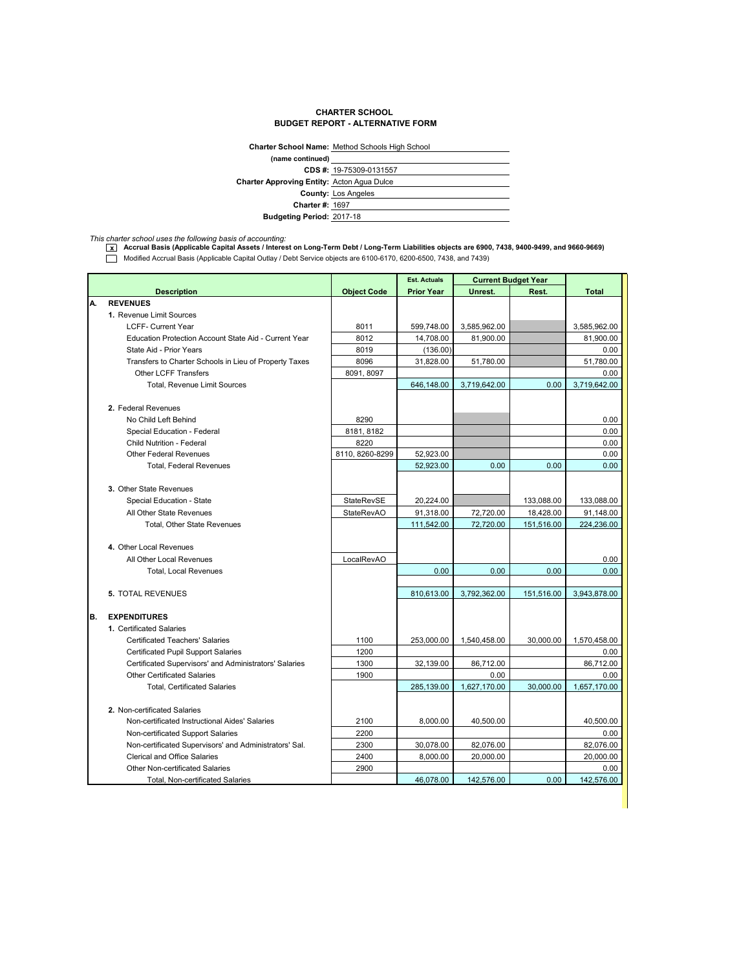## **CHARTER SCHOOL BUDGET REPORT - ALTERNATIVE FORM**

|                                                   | <b>Charter School Name: Method Schools High School</b> |  |  |  |
|---------------------------------------------------|--------------------------------------------------------|--|--|--|
| (name continued)                                  |                                                        |  |  |  |
|                                                   | CDS #: 19-75309-0131557                                |  |  |  |
| <b>Charter Approving Entity: Acton Agua Dulce</b> |                                                        |  |  |  |
|                                                   | <b>County: Los Angeles</b>                             |  |  |  |
| <b>Charter #: 1697</b>                            |                                                        |  |  |  |
| <b>Budgeting Period: 2017-18</b>                  |                                                        |  |  |  |

*This charter school uses the following basis of accounting:* **x Accrual Basis (Applicable Capital Assets / Interest on Long-Term Debt / Long-Term Liabilities objects are 6900, 7438, 9400-9499, and 9660-9669)** Modified Accrual Basis (Applicable Capital Outlay / Debt Service objects are 6100-6170, 6200-6500, 7438, and 7439)

|     |                                                        |                    | <b>Est. Actuals</b> | <b>Current Budget Year</b> |            |              |
|-----|--------------------------------------------------------|--------------------|---------------------|----------------------------|------------|--------------|
|     | <b>Description</b>                                     | <b>Object Code</b> | <b>Prior Year</b>   | Unrest.                    | Rest.      | <b>Total</b> |
| А.  | <b>REVENUES</b>                                        |                    |                     |                            |            |              |
|     | 1. Revenue Limit Sources                               |                    |                     |                            |            |              |
|     | <b>LCFF- Current Year</b>                              | 8011               | 599,748.00          | 3,585,962.00               |            | 3,585,962.00 |
|     | Education Protection Account State Aid - Current Year  | 8012               | 14,708.00           | 81,900.00                  |            | 81,900.00    |
|     | State Aid - Prior Years                                | 8019               | (136.00)            |                            |            | 0.00         |
|     | Transfers to Charter Schools in Lieu of Property Taxes | 8096               | 31,828.00           | 51,780.00                  |            | 51,780.00    |
|     | <b>Other LCFF Transfers</b>                            | 8091, 8097         |                     |                            |            | 0.00         |
|     | Total, Revenue Limit Sources                           |                    | 646,148.00          | 3,719,642.00               | 0.00       | 3,719,642.00 |
|     |                                                        |                    |                     |                            |            |              |
|     | 2. Federal Revenues                                    |                    |                     |                            |            |              |
|     | No Child Left Behind                                   | 8290               |                     |                            |            | 0.00         |
|     | Special Education - Federal                            | 8181, 8182         |                     |                            |            | 0.00         |
|     | Child Nutrition - Federal                              | 8220               |                     |                            |            | 0.00         |
|     | <b>Other Federal Revenues</b>                          | 8110, 8260-8299    | 52,923.00           |                            |            | 0.00         |
|     | <b>Total, Federal Revenues</b>                         |                    | 52,923.00           | 0.00                       | 0.00       | 0.00         |
|     |                                                        |                    |                     |                            |            |              |
|     | 3. Other State Revenues                                |                    |                     |                            |            |              |
|     | Special Education - State                              | StateRevSE         | 20,224.00           |                            | 133,088.00 | 133,088.00   |
|     | All Other State Revenues                               | <b>StateRevAO</b>  | 91,318.00           | 72,720.00                  | 18,428.00  | 91,148.00    |
|     | <b>Total. Other State Revenues</b>                     |                    | 111,542.00          | 72,720.00                  | 151,516.00 | 224.236.00   |
|     |                                                        |                    |                     |                            |            |              |
|     | 4. Other Local Revenues                                |                    |                     |                            |            |              |
|     | All Other Local Revenues                               | LocalRevAO         |                     |                            |            | 0.00         |
|     | <b>Total, Local Revenues</b>                           |                    | 0.00                | 0.00                       | 0.00       | 0.00         |
|     |                                                        |                    |                     |                            |            |              |
|     | <b>5. TOTAL REVENUES</b>                               |                    | 810,613.00          | 3,792,362.00               | 151,516.00 | 3,943,878.00 |
|     |                                                        |                    |                     |                            |            |              |
| IB. | <b>EXPENDITURES</b>                                    |                    |                     |                            |            |              |
|     | 1. Certificated Salaries                               |                    |                     |                            |            |              |
|     | <b>Certificated Teachers' Salaries</b>                 | 1100               | 253,000.00          | 1,540,458.00               | 30,000.00  | 1,570,458.00 |
|     | <b>Certificated Pupil Support Salaries</b>             | 1200               |                     |                            |            | 0.00         |
|     | Certificated Supervisors' and Administrators' Salaries | 1300               | 32,139.00           | 86,712.00                  |            | 86,712.00    |
|     | <b>Other Certificated Salaries</b>                     | 1900               |                     | 0.00                       |            | 0.00         |
|     | <b>Total, Certificated Salaries</b>                    |                    | 285,139.00          | 1,627,170.00               | 30.000.00  | 1,657,170.00 |
|     |                                                        |                    |                     |                            |            |              |
|     | 2. Non-certificated Salaries                           |                    |                     |                            |            |              |
|     | Non-certificated Instructional Aides' Salaries         | 2100               | 8.000.00            | 40,500.00                  |            | 40.500.00    |
|     | Non-certificated Support Salaries                      | 2200               |                     |                            |            | 0.00         |
|     | Non-certificated Supervisors' and Administrators' Sal. | 2300               | 30,078.00           | 82,076.00                  |            | 82,076.00    |
|     | <b>Clerical and Office Salaries</b>                    | 2400               | 8,000.00            | 20,000.00                  |            | 20,000.00    |
|     | <b>Other Non-certificated Salaries</b>                 | 2900               |                     |                            |            | 0.00         |
|     | Total, Non-certificated Salaries                       |                    | 46,078.00           | 142,576.00                 | 0.00       | 142,576.00   |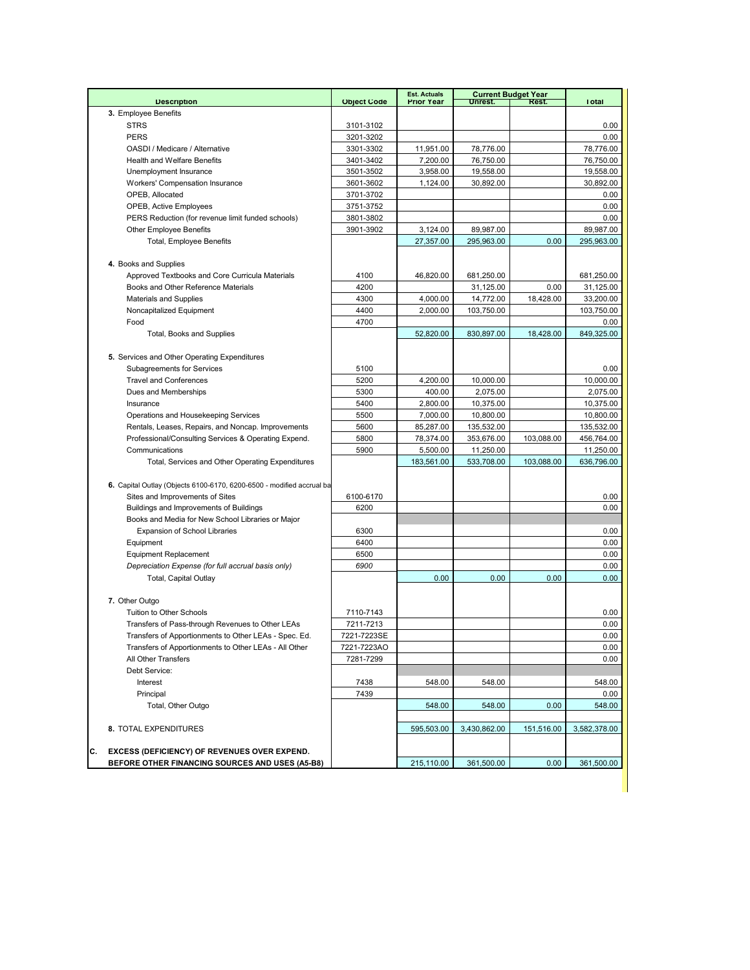|                                                                                     |                        | <b>Est. Actuals</b>  |                         | <b>Current Budget Year</b><br>Rest. |                         |
|-------------------------------------------------------------------------------------|------------------------|----------------------|-------------------------|-------------------------------------|-------------------------|
| <b>Description</b><br>3. Employee Benefits                                          | <b>Object Code</b>     | <b>Prior Year</b>    | Unrest.                 |                                     | <b>Total</b>            |
| <b>STRS</b>                                                                         |                        |                      |                         |                                     | 0.00                    |
| <b>PERS</b>                                                                         | 3101-3102<br>3201-3202 |                      |                         |                                     | 0.00                    |
| OASDI / Medicare / Alternative                                                      |                        | 11,951.00            | 78,776.00               |                                     | 78,776.00               |
| <b>Health and Welfare Benefits</b>                                                  | 3301-3302<br>3401-3402 | 7,200.00             | 76,750.00               |                                     | 76,750.00               |
| Unemployment Insurance                                                              | 3501-3502              | 3,958.00             | 19,558.00               |                                     | 19,558.00               |
|                                                                                     |                        |                      |                         |                                     |                         |
| Workers' Compensation Insurance<br>OPEB, Allocated                                  | 3601-3602<br>3701-3702 | 1,124.00             | 30,892.00               |                                     | 30,892.00<br>0.00       |
|                                                                                     |                        |                      |                         |                                     |                         |
| OPEB, Active Employees                                                              | 3751-3752<br>3801-3802 |                      |                         |                                     | 0.00<br>0.00            |
| PERS Reduction (for revenue limit funded schools)<br><b>Other Employee Benefits</b> |                        |                      |                         |                                     | 89.987.00               |
|                                                                                     | 3901-3902              | 3,124.00             | 89,987.00               | 0.00                                |                         |
| Total, Employee Benefits                                                            |                        | 27,357.00            | 295,963.00              |                                     | 295,963.00              |
| 4. Books and Supplies                                                               |                        |                      |                         |                                     |                         |
| Approved Textbooks and Core Curricula Materials                                     | 4100                   | 46,820.00            | 681,250.00              |                                     | 681,250.00              |
| Books and Other Reference Materials                                                 | 4200                   |                      | 31,125.00               | 0.00                                |                         |
|                                                                                     |                        |                      |                         |                                     | 31,125.00               |
| <b>Materials and Supplies</b>                                                       | 4300                   | 4,000.00<br>2,000.00 | 14,772.00<br>103,750.00 | 18,428.00                           | 33,200.00<br>103,750.00 |
| Noncapitalized Equipment                                                            | 4400                   |                      |                         |                                     |                         |
| Food                                                                                | 4700                   |                      |                         |                                     | 0.00                    |
| Total, Books and Supplies                                                           |                        | 52,820.00            | 830,897.00              | 18,428.00                           | 849,325.00              |
|                                                                                     |                        |                      |                         |                                     |                         |
| 5. Services and Other Operating Expenditures                                        |                        |                      |                         |                                     |                         |
| Subagreements for Services                                                          | 5100                   |                      |                         |                                     | 0.00                    |
| <b>Travel and Conferences</b>                                                       | 5200                   | 4,200.00             | 10,000.00               |                                     | 10.000.00               |
| Dues and Memberships                                                                | 5300                   | 400.00               | 2,075.00                |                                     | 2,075.00                |
| Insurance                                                                           | 5400                   | 2,800.00             | 10,375.00               |                                     | 10,375.00               |
| Operations and Housekeeping Services                                                | 5500                   | 7,000.00             | 10,800.00               |                                     | 10,800.00               |
| Rentals, Leases, Repairs, and Noncap. Improvements                                  | 5600                   | 85,287.00            | 135,532.00              |                                     | 135,532.00              |
| Professional/Consulting Services & Operating Expend.                                | 5800                   | 78,374.00            | 353,676.00              | 103,088.00                          | 456,764.00              |
| Communications                                                                      | 5900                   | 5,500.00             | 11,250.00               |                                     | 11,250.00               |
| Total, Services and Other Operating Expenditures                                    |                        | 183,561.00           | 533,708.00              | 103,088.00                          | 636,796.00              |
|                                                                                     |                        |                      |                         |                                     |                         |
| 6. Capital Outlay (Objects 6100-6170, 6200-6500 - modified accrual ba               |                        |                      |                         |                                     |                         |
| Sites and Improvements of Sites                                                     | 6100-6170              |                      |                         |                                     | 0.00                    |
| Buildings and Improvements of Buildings                                             | 6200                   |                      |                         |                                     | 0.00                    |
| Books and Media for New School Libraries or Major                                   |                        |                      |                         |                                     |                         |
| <b>Expansion of School Libraries</b>                                                | 6300                   |                      |                         |                                     | 0.00                    |
| Equipment                                                                           | 6400                   |                      |                         |                                     | 0.00                    |
| <b>Equipment Replacement</b>                                                        | 6500                   |                      |                         |                                     | 0.00                    |
| Depreciation Expense (for full accrual basis only)                                  | 6900                   |                      |                         |                                     | 0.00                    |
| Total, Capital Outlay                                                               |                        | 0.00                 | 0.00                    | 0.00                                | 0.00                    |
|                                                                                     |                        |                      |                         |                                     |                         |
| 7. Other Outgo                                                                      |                        |                      |                         |                                     |                         |
| Tuition to Other Schools                                                            | 7110-7143              |                      |                         |                                     | 0.00                    |
| Transfers of Pass-through Revenues to Other LEAs                                    | 7211-7213              |                      |                         |                                     | 0.00                    |
| Transfers of Apportionments to Other LEAs - Spec. Ed.                               | 7221-7223SE            |                      |                         |                                     | 0.00                    |
| Transfers of Apportionments to Other LEAs - All Other                               | 7221-7223AO            |                      |                         |                                     | 0.00                    |
| All Other Transfers                                                                 | 7281-7299              |                      |                         |                                     | 0.00                    |
| Debt Service:                                                                       |                        |                      |                         |                                     |                         |
| Interest                                                                            | 7438                   | 548.00               | 548.00                  |                                     | 548.00                  |
| Principal                                                                           | 7439                   |                      |                         |                                     | 0.00                    |
| Total, Other Outgo                                                                  |                        | 548.00               | 548.00                  | 0.00                                | 548.00                  |
|                                                                                     |                        |                      |                         |                                     |                         |
| 8. TOTAL EXPENDITURES                                                               |                        | 595,503.00           | 3,430,862.00            | 151,516.00                          | 3,582,378.00            |
|                                                                                     |                        |                      |                         |                                     |                         |
| С.<br><b>EXCESS (DEFICIENCY) OF REVENUES OVER EXPEND.</b>                           |                        |                      |                         |                                     |                         |
| BEFORE OTHER FINANCING SOURCES AND USES (A5-B8)                                     |                        | 215,110.00           | 361,500.00              | 0.00                                | 361,500.00              |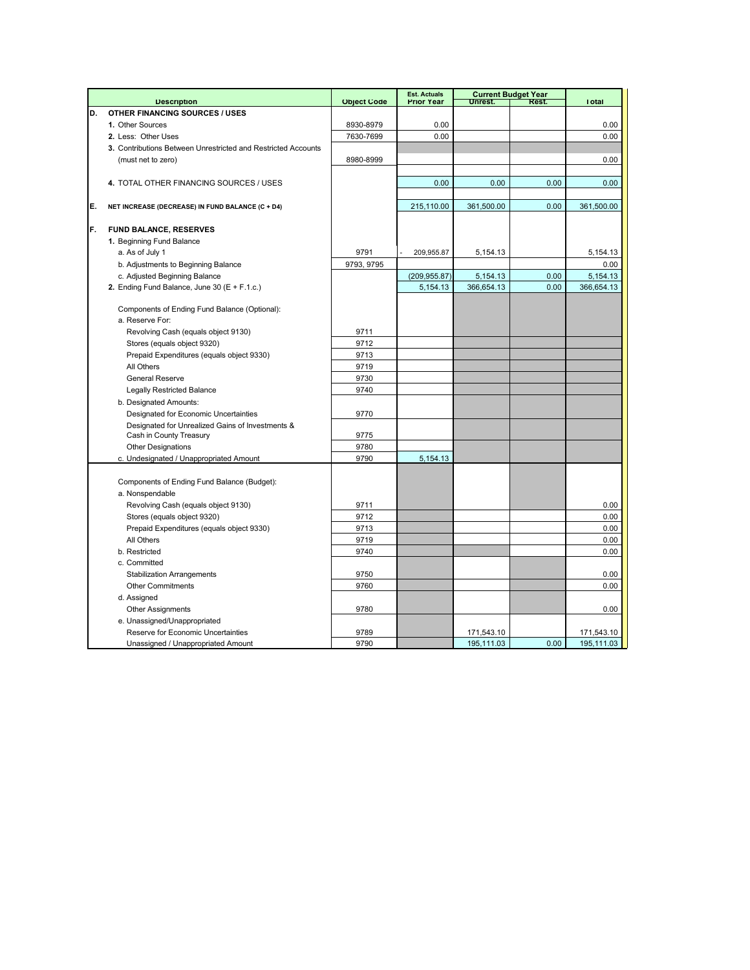|    |                                                               |                    | <b>Est. Actuals</b> |            | <b>Current Budget Year</b> |              |
|----|---------------------------------------------------------------|--------------------|---------------------|------------|----------------------------|--------------|
|    | <b>Description</b>                                            | <b>Object Code</b> | <b>Prior Year</b>   | Unrest.    | <b>Rest.</b>               | <b>Total</b> |
| D. | OTHER FINANCING SOURCES / USES                                |                    |                     |            |                            |              |
|    | 1. Other Sources                                              | 8930-8979          | 0.00                |            |                            | 0.00         |
|    | 2. Less: Other Uses                                           | 7630-7699          | 0.00                |            |                            | 0.00         |
|    | 3. Contributions Between Unrestricted and Restricted Accounts |                    |                     |            |                            |              |
|    | (must net to zero)                                            | 8980-8999          |                     |            |                            | 0.00         |
|    |                                                               |                    |                     |            |                            |              |
|    | 4. TOTAL OTHER FINANCING SOURCES / USES                       |                    | 0.00                | 0.00       | 0.00                       | 0.00         |
|    |                                                               |                    |                     |            |                            |              |
| E. | NET INCREASE (DECREASE) IN FUND BALANCE (C + D4)              |                    | 215,110.00          | 361,500.00 | 0.00                       | 361,500.00   |
|    |                                                               |                    |                     |            |                            |              |
| F. | <b>FUND BALANCE, RESERVES</b>                                 |                    |                     |            |                            |              |
|    | 1. Beginning Fund Balance                                     |                    |                     |            |                            |              |
|    | a. As of July 1                                               | 9791               | 209,955.87          | 5,154.13   |                            | 5,154.13     |
|    | b. Adjustments to Beginning Balance                           | 9793, 9795         |                     |            |                            | 0.00         |
|    | c. Adjusted Beginning Balance                                 |                    | (209, 955.87)       | 5,154.13   | 0.00                       | 5,154.13     |
|    | 2. Ending Fund Balance, June 30 ( $E + F.1.c$ .)              |                    | 5,154.13            | 366,654.13 | 0.00                       | 366,654.13   |
|    |                                                               |                    |                     |            |                            |              |
|    | Components of Ending Fund Balance (Optional):                 |                    |                     |            |                            |              |
|    | a. Reserve For:                                               |                    |                     |            |                            |              |
|    | Revolving Cash (equals object 9130)                           | 9711               |                     |            |                            |              |
|    | Stores (equals object 9320)                                   | 9712               |                     |            |                            |              |
|    | Prepaid Expenditures (equals object 9330)                     | 9713               |                     |            |                            |              |
|    | All Others                                                    | 9719               |                     |            |                            |              |
|    | <b>General Reserve</b>                                        | 9730               |                     |            |                            |              |
|    | <b>Legally Restricted Balance</b>                             | 9740               |                     |            |                            |              |
|    | b. Designated Amounts:                                        |                    |                     |            |                            |              |
|    | Designated for Economic Uncertainties                         | 9770               |                     |            |                            |              |
|    | Designated for Unrealized Gains of Investments &              |                    |                     |            |                            |              |
|    | Cash in County Treasury                                       | 9775               |                     |            |                            |              |
|    | <b>Other Designations</b>                                     | 9780               |                     |            |                            |              |
|    | c. Undesignated / Unappropriated Amount                       | 9790               | 5,154.13            |            |                            |              |
|    |                                                               |                    |                     |            |                            |              |
|    | Components of Ending Fund Balance (Budget):                   |                    |                     |            |                            |              |
|    | a. Nonspendable                                               |                    |                     |            |                            |              |
|    | Revolving Cash (equals object 9130)                           | 9711               |                     |            |                            | 0.00         |
|    | Stores (equals object 9320)                                   | 9712               |                     |            |                            | 0.00         |
|    | Prepaid Expenditures (equals object 9330)                     | 9713               |                     |            |                            | 0.00         |
|    | All Others                                                    | 9719               |                     |            |                            | 0.00         |
|    | b. Restricted                                                 | 9740               |                     |            |                            | 0.00         |
|    | c. Committed                                                  |                    |                     |            |                            |              |
|    | <b>Stabilization Arrangements</b>                             | 9750               |                     |            |                            | 0.00         |
|    | <b>Other Commitments</b>                                      | 9760               |                     |            |                            | 0.00         |
|    | d. Assigned                                                   |                    |                     |            |                            |              |
|    | <b>Other Assignments</b>                                      | 9780               |                     |            |                            | 0.00         |
|    | e. Unassigned/Unappropriated                                  |                    |                     |            |                            |              |
|    | Reserve for Economic Uncertainties                            | 9789               |                     | 171,543.10 |                            | 171,543.10   |
|    | Unassigned / Unappropriated Amount                            | 9790               |                     | 195,111.03 | 0.00                       | 195,111.03   |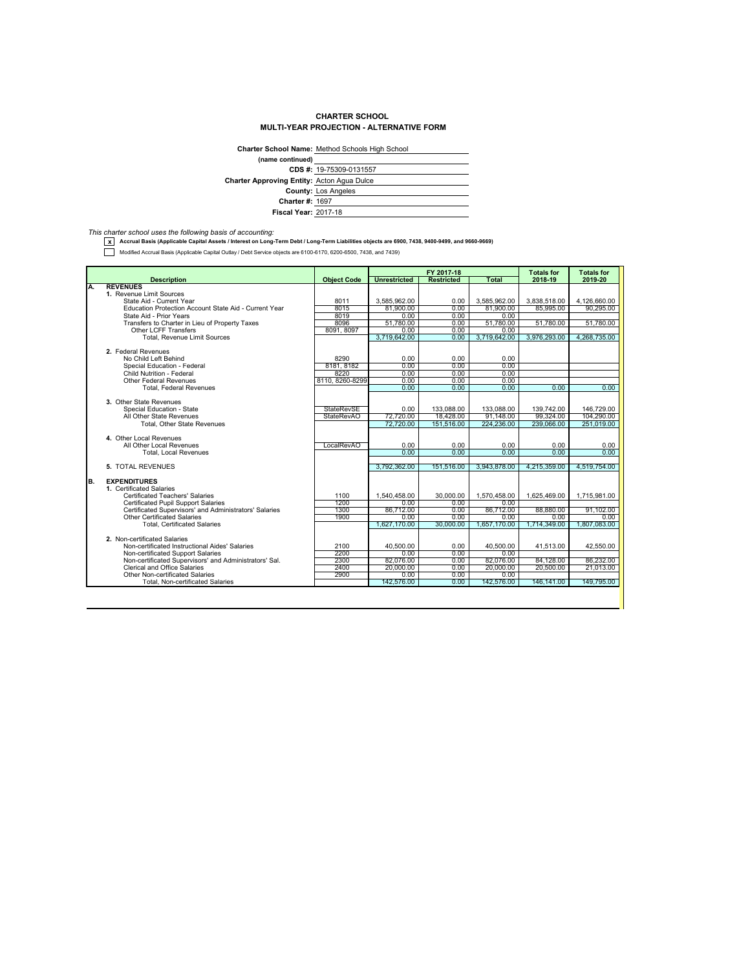## **CHARTER SCHOOL MULTI-YEAR PROJECTION - ALTERNATIVE FORM**

|                                                   | Charter School Name: Method Schools High School |
|---------------------------------------------------|-------------------------------------------------|
| (name continued)                                  |                                                 |
|                                                   | CDS #: 19-75309-0131557                         |
| <b>Charter Approving Entity: Acton Agua Dulce</b> |                                                 |
|                                                   | <b>County: Los Angeles</b>                      |
| <b>Charter #: 1697</b>                            |                                                 |
| <b>Fiscal Year: 2017-18</b>                       |                                                 |

*This charter school uses the following basis of accounting:* **x Accrual Basis (Applicable Capital Assets / Interest on Long-Term Debt / Long-Term Liabilities objects are 6900, 7438, 9400-9499, and 9660-9669)**

Modified Accrual Basis (Applicable Capital Outlay / Debt Service objects are 6100-6170, 6200-6500, 7438, and 7439)

|    |                                                        |                                 |                        | FY 2017-18              |              | <b>Totals for</b>       | <b>Totals for</b> |
|----|--------------------------------------------------------|---------------------------------|------------------------|-------------------------|--------------|-------------------------|-------------------|
|    | <b>Description</b>                                     | <b>Object Code</b>              | <b>Unrestricted</b>    | <b>Restricted</b>       | Total        | 2018-19                 | 2019-20           |
| Α. | <b>REVENUES</b>                                        |                                 |                        |                         |              |                         |                   |
|    | 1. Revenue Limit Sources                               |                                 |                        |                         |              |                         |                   |
|    | State Aid - Current Year                               | 8011                            | 3.585.962.00           | 0.00                    | 3.585.962.00 | 3.838.518.00            | 4.126.660.00      |
|    | Education Protection Account State Aid - Current Year  | 8015                            | 81,900.00              | 0.00                    | 81,900.00    | 85.995.00               | 90.295.00         |
|    | State Aid - Prior Years                                | 8019                            | 0.00                   | 0.00                    | 0.00         |                         |                   |
|    | Transfers to Charter in Lieu of Property Taxes         | 8096                            | 51,780.00              | 0.00                    | 51.780.00    | 51,780.00               | 51,780.00         |
|    | <b>Other LCFF Transfers</b>                            | 8091, 8097                      | 0.00                   | 0.00                    | 0.00         |                         |                   |
|    | Total, Revenue Limit Sources                           |                                 | 3,719,642.00           | 0.00                    | 3,719,642.00 | 3,976,293.00            | 4,268,735.00      |
|    |                                                        |                                 |                        |                         |              |                         |                   |
|    | 2. Federal Revenues                                    |                                 |                        |                         |              |                         |                   |
|    | No Child Left Behind                                   | 8290                            | 0.00                   | 0.00                    | 0.00         |                         |                   |
|    | Special Education - Federal                            | 8181, 8182                      | 0.00                   | 0.00                    | 0.00         |                         |                   |
|    | Child Nutrition - Federal                              | 8220                            | 0.00                   | 0.00                    | 0.00         |                         |                   |
|    | <b>Other Federal Revenues</b>                          | 8110, 8260-8299                 | 0.00                   | 0.00                    | 0.00         |                         |                   |
|    | <b>Total, Federal Revenues</b>                         |                                 | 0.00                   | 0.00                    | 0.00         | 0.00                    | 0.00              |
|    | 3. Other State Revenues                                |                                 |                        |                         |              |                         |                   |
|    |                                                        |                                 |                        |                         |              |                         |                   |
|    | Special Education - State                              | <b>StateRevSE</b><br>StateRevAO | 0.00                   | 133.088.00              | 133,088.00   | 139.742.00              | 146,729.00        |
|    | All Other State Revenues                               |                                 | 72,720.00<br>72,720.00 | 18,428.00<br>151.516.00 | 91.148.00    | 99.324.00<br>239,066,00 | 104.290.00        |
|    | <b>Total, Other State Revenues</b>                     |                                 |                        |                         | 224,236.00   |                         | 251.019.00        |
|    | 4. Other Local Revenues                                |                                 |                        |                         |              |                         |                   |
|    | All Other Local Revenues                               | LocalRevAO                      | 0.00                   | 0.00                    | 0.00         | 0.00                    | 0.00              |
|    | <b>Total, Local Revenues</b>                           |                                 | 0.00                   | 0.00                    | 0.00         | 0.00                    | 0.00              |
|    |                                                        |                                 |                        |                         |              |                         |                   |
|    | 5. TOTAL REVENUES                                      |                                 | 3.792.362.00           | 151.516.00              | 3.943.878.00 | 4.215.359.00            | 4.519.754.00      |
| B. | <b>EXPENDITURES</b>                                    |                                 |                        |                         |              |                         |                   |
|    | 1. Certificated Salaries                               |                                 |                        |                         |              |                         |                   |
|    | Certificated Teachers' Salaries                        | 1100                            | 1.540.458.00           | 30,000.00               | 1,570,458.00 | 1.625.469.00            | 1,715,981.00      |
|    | <b>Certificated Pupil Support Salaries</b>             | 1200                            | 0.00                   | 0.00                    | 0.00         |                         |                   |
|    | Certificated Supervisors' and Administrators' Salaries | 1300                            | 86,712.00              | 0.00                    | 86,712.00    | 88,880,00               | 91,102.00         |
|    | <b>Other Certificated Salaries</b>                     | 1900                            | 0.00                   | 0.00                    | 0.00         | 0.00                    | 0.00              |
|    | <b>Total, Certificated Salaries</b>                    |                                 | 1.627.170.00           | 30,000.00               | 1.657.170.00 | 1.714.349.00            | 1.807.083.00      |
|    |                                                        |                                 |                        |                         |              |                         |                   |
|    | 2. Non-certificated Salaries                           |                                 |                        |                         |              |                         |                   |
|    | Non-certificated Instructional Aides' Salaries         | 2100                            | 40,500.00              | 0.00                    | 40,500.00    | 41.513.00               | 42,550.00         |
|    | Non-certificated Support Salaries                      | 2200                            | 0.00                   | 0.00                    | 0.00         |                         |                   |
|    | Non-certificated Supervisors' and Administrators' Sal. | 2300                            | 82.076.00              | 0.00                    | 82.076.00    | 84.128.00               | 86,232.00         |
|    | <b>Clerical and Office Salaries</b>                    | 2400                            | 20,000.00              | 0.00                    | 20,000.00    | 20,500.00               | 21.013.00         |
|    | Other Non-certificated Salaries                        | 2900                            | 0.00                   | 0.00                    | 0.00         |                         |                   |
|    | <b>Total, Non-certificated Salaries</b>                |                                 | 142,576.00             | 0.00                    | 142,576.00   | 146,141.00              | 149.795.00        |
|    |                                                        |                                 |                        |                         |              |                         |                   |
|    |                                                        |                                 |                        |                         |              |                         |                   |
|    |                                                        |                                 |                        |                         |              |                         |                   |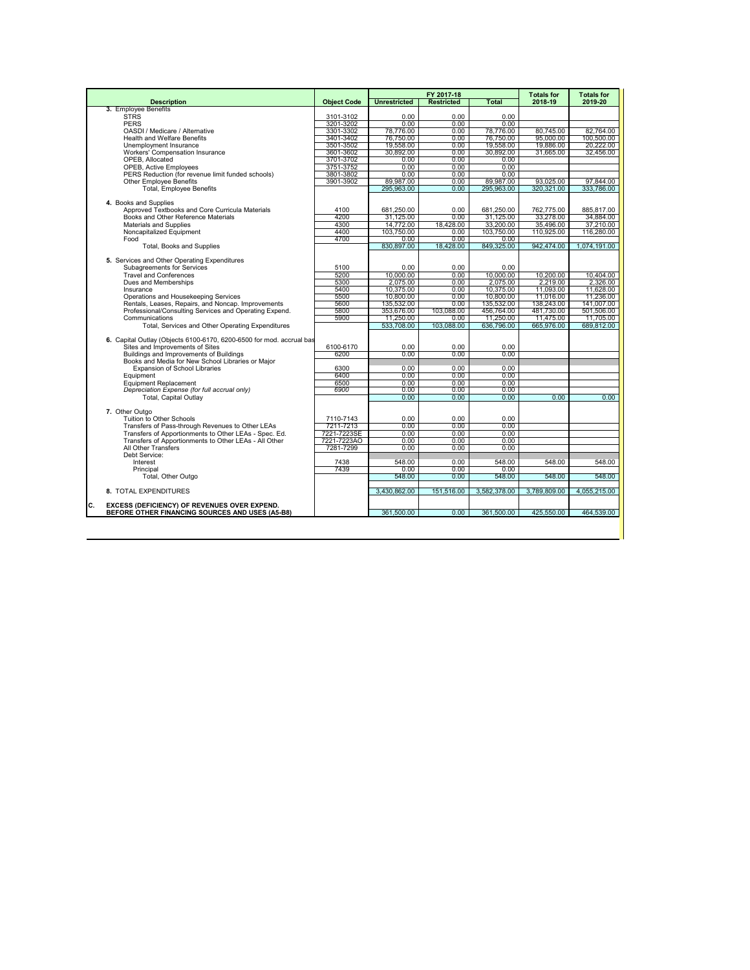|                                                                      |                        |                        | FY 2017-18        |                         | <b>Totals for</b>       | <b>Totals for</b>      |
|----------------------------------------------------------------------|------------------------|------------------------|-------------------|-------------------------|-------------------------|------------------------|
| <b>Description</b>                                                   | <b>Object Code</b>     | <b>Unrestricted</b>    | <b>Restricted</b> | <b>Total</b>            | 2018-19                 | 2019-20                |
| 3. Employee Benefits                                                 |                        |                        |                   |                         |                         |                        |
| <b>STRS</b><br><b>PERS</b>                                           | 3101-3102<br>3201-3202 | 0.00<br>0.00           | 0.00<br>0.00      | 0.00<br>0.00            |                         |                        |
| OASDI / Medicare / Alternative                                       | 3301-3302              | 78.776.00              | 0.00              | 78,776.00               | 80,745.00               | 82.764.00              |
| <b>Health and Welfare Benefits</b>                                   | 3401-3402              | 76.750.00              | 0.00              | 76,750.00               | 95,000.00               | 100.500.00             |
| Unemployment Insurance                                               | 3501-3502              | 19.558.00              | 0.00              | 19.558.00               | 19,886.00               | 20.222.00              |
| Workers' Compensation Insurance                                      | 3601-3602              | 30.892.00              | $0.00 -$          | 30.892.00               | 31.665.00               | 32.456.00              |
| OPEB, Allocated                                                      | 3701-3702              | 0.00                   | 0.00              | 0.00                    |                         |                        |
| OPEB, Active Employees                                               | 3751-3752              | 0.00                   | 0.00              | 0.00                    |                         |                        |
| PERS Reduction (for revenue limit funded schools)                    | 3801-3802              | 0.00                   | 0.00              | 0.00                    |                         |                        |
| Other Employee Benefits                                              | 3901-3902              | 89.987.00              | 0.00              | 89.987.00               | 93.025.00               | 97.844.00              |
| <b>Total, Employee Benefits</b>                                      |                        | 295.963.00             | 0.00              | 295,963.00              | 320.321.00              | 333.786.00             |
|                                                                      |                        |                        |                   |                         |                         |                        |
| 4. Books and Supplies                                                |                        |                        |                   |                         |                         |                        |
| Approved Textbooks and Core Curricula Materials                      | 4100                   | 681.250.00             | 0.00              | 681.250.00              | 762.775.00              | 885.817.00             |
| Books and Other Reference Materials<br>Materials and Supplies        | 4200<br>4300           | 31,125.00<br>14.772.00 | 0.00<br>18.428.00 | 31,125.00<br>33,200,00  | 33,278.00<br>35.496.00  | 34,884.00<br>37,210,00 |
| Noncapitalized Equipment                                             | 4400                   | 103,750.00             | 0.00              | 103,750.00              | 110,925.00              | 116,280.00             |
| Food                                                                 | 4700                   | 0.00                   | 0.00              | 0.00                    |                         |                        |
| <b>Total, Books and Supplies</b>                                     |                        | 830.897.00             | 18.428.00         | 849.325.00              | 942.474.00              | 1.074.191.00           |
|                                                                      |                        |                        |                   |                         |                         |                        |
| 5. Services and Other Operating Expenditures                         |                        |                        |                   |                         |                         |                        |
| Subagreements for Services                                           | 5100                   | 0.00                   | 0.00              | 0.00                    |                         |                        |
| <b>Travel and Conferences</b>                                        | 5200                   | 10.000.00              | 0.00              | 10.000.00               | 10.200.00               | 10.404.00              |
| Dues and Memberships                                                 | 5300                   | 2.075.00               | 0.00              | 2.075.00                | 2.219.00                | 2.326.00               |
| Insurance                                                            | 5400                   | 10.375.00              | 0.00              | 10.375.00               | 11.093.00               | 11.628.00              |
| Operations and Housekeeping Services                                 | 5500                   | 10,800.00              | 0.00              | 10,800.00               | 11,016.00               | 11,236.00              |
| Rentals, Leases, Repairs, and Noncap. Improvements                   | 5600                   | 135,532.00             | 0.00              | 135,532.00              | 138.243.00              | 141,007.00             |
| Professional/Consulting Services and Operating Expend.               | 5800                   | 353,676.00             | 103,088.00        | 456,764.00              | 481,730.00              | 501.506.00             |
| Communications<br>Total, Services and Other Operating Expenditures   | 5900                   | 11.250.00              | $0.00 -$          | 11.250.00<br>636,796.00 | 11.475.00<br>665,976.00 | 11.705.00              |
|                                                                      |                        | 533,708.00             | 103.088.00        |                         |                         | 689.812.00             |
| 6. Capital Outlay (Objects 6100-6170, 6200-6500 for mod. accrual bas |                        |                        |                   |                         |                         |                        |
| Sites and Improvements of Sites                                      | 6100-6170              | 0.00                   | 0.00              | 0.00                    |                         |                        |
| Buildings and Improvements of Buildings                              | 6200                   | 0.00                   | 0.00              | 0.00                    |                         |                        |
| Books and Media for New School Libraries or Maior                    |                        |                        |                   |                         |                         |                        |
| Expansion of School Libraries                                        | 6300                   | 0.00                   | 0.00              | 0.00                    |                         |                        |
| Equipment                                                            | 6400                   | 0.00                   | 0.00              | 0.00                    |                         |                        |
| Equipment Replacement                                                | 6500                   | 0.00                   | 0.00              | 0.00                    |                         |                        |
| Depreciation Expense (for full accrual only)                         | 6900                   | 0.00                   | 0.00              | 0.00                    |                         |                        |
| <b>Total, Capital Outlav</b>                                         |                        | 0.00                   | 0.00              | $0.00 -$                | 0.00                    | 0.00                   |
|                                                                      |                        |                        |                   |                         |                         |                        |
| 7. Other Outgo<br>Tuition to Other Schools                           |                        | 0.00                   | 0.00              | 0.00                    |                         |                        |
| Transfers of Pass-through Revenues to Other LEAs                     | 7110-7143<br>7211-7213 | 0.00                   | 0.00              | 0.00                    |                         |                        |
| Transfers of Apportionments to Other LEAs - Spec. Ed.                | 7221-7223SE            | 0.00                   | 0.00              | 0.00                    |                         |                        |
| Transfers of Apportionments to Other LEAs - All Other                | 7221-7223AO            | 0.00                   | 0.00              | 0.00                    |                         |                        |
| All Other Transfers                                                  | 7281-7299              | 0.00                   | 0.00              | 0.00                    |                         |                        |
| Debt Service:                                                        |                        |                        |                   |                         |                         |                        |
| Interest                                                             | 7438                   | 548.00                 | 0.00              | 548.00                  | 548.00                  | 548.00                 |
| Principal                                                            | 7439                   | 0.00                   | 0.00              | 0.00                    |                         |                        |
| Total, Other Outgo                                                   |                        | 548.00                 | 0.00              | 548.00                  | 548.00                  | 548.00                 |
|                                                                      |                        |                        |                   |                         |                         |                        |
| 8. TOTAL EXPENDITURES                                                |                        | 3.430.862.00           | 151.516.00        | 3,582,378.00            | 3.789.809.00            | 4,055,215.00           |
| C.<br>EXCESS (DEFICIENCY) OF REVENUES OVER EXPEND.                   |                        |                        |                   |                         |                         |                        |
| BEFORE OTHER FINANCING SOURCES AND USES (A5-B8)                      |                        | 361.500.00             | 0.00              | 361.500.00              | 425.550.00              | 464.539.00             |
|                                                                      |                        |                        |                   |                         |                         |                        |
|                                                                      |                        |                        |                   |                         |                         |                        |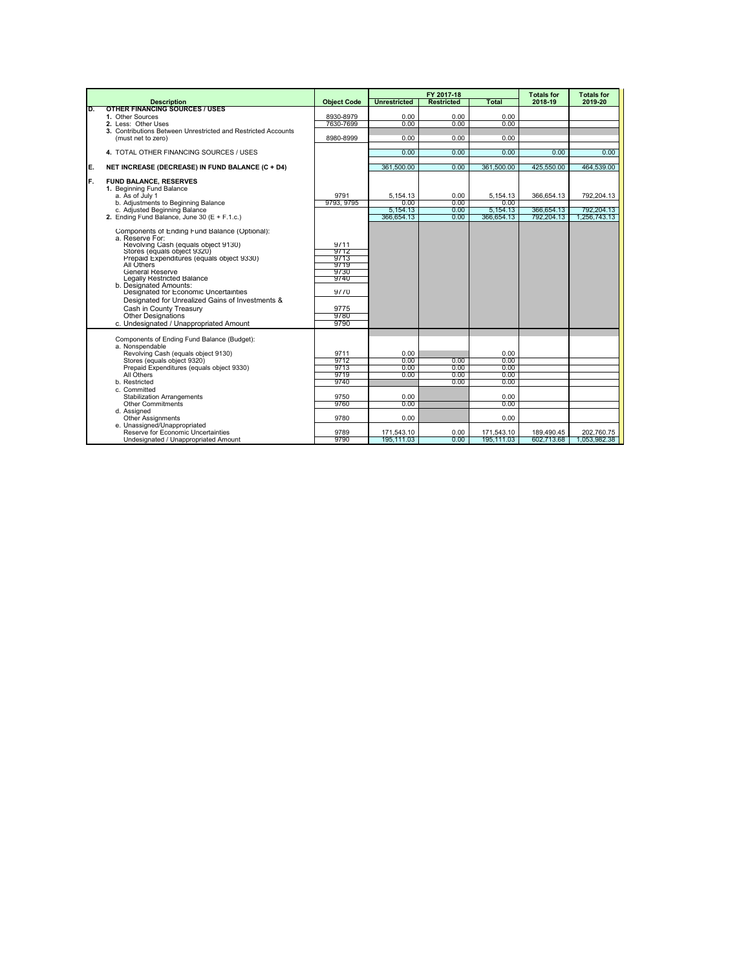|    |                                                                                                                                                                                                                                                                                                                                                                                                                                                                                     |                                                                              |                                                      | FY 2017-18                   |                                                              | <b>Totals for</b>                      | <b>Totals for</b>                        |
|----|-------------------------------------------------------------------------------------------------------------------------------------------------------------------------------------------------------------------------------------------------------------------------------------------------------------------------------------------------------------------------------------------------------------------------------------------------------------------------------------|------------------------------------------------------------------------------|------------------------------------------------------|------------------------------|--------------------------------------------------------------|----------------------------------------|------------------------------------------|
|    | <b>Description</b>                                                                                                                                                                                                                                                                                                                                                                                                                                                                  | <b>Object Code</b>                                                           | <b>Unrestricted</b>                                  | <b>Restricted</b>            | Total                                                        | 2018-19                                | 2019-20                                  |
| D. | <b>OTHER FINANCING SOURCES / USES</b><br>1. Other Sources                                                                                                                                                                                                                                                                                                                                                                                                                           | 8930-8979                                                                    | 0.00                                                 | 0.00                         | 0.00                                                         |                                        |                                          |
|    | 2. Less: Other Uses                                                                                                                                                                                                                                                                                                                                                                                                                                                                 | 7630-7699                                                                    | 0.00                                                 | 0.00                         | 0.00                                                         |                                        |                                          |
|    | 3. Contributions Between Unrestricted and Restricted Accounts                                                                                                                                                                                                                                                                                                                                                                                                                       |                                                                              |                                                      |                              |                                                              |                                        |                                          |
|    | (must net to zero)                                                                                                                                                                                                                                                                                                                                                                                                                                                                  | 8980-8999                                                                    | 0.00                                                 | 0.00                         | 0.00                                                         |                                        |                                          |
|    |                                                                                                                                                                                                                                                                                                                                                                                                                                                                                     |                                                                              |                                                      |                              |                                                              |                                        |                                          |
|    | 4. TOTAL OTHER FINANCING SOURCES / USES                                                                                                                                                                                                                                                                                                                                                                                                                                             |                                                                              | 0.00                                                 | 0.00                         | 0.00                                                         | 0.00                                   | 0.00                                     |
| E. | NET INCREASE (DECREASE) IN FUND BALANCE (C + D4)                                                                                                                                                                                                                                                                                                                                                                                                                                    |                                                                              | 361.500.00                                           | 0.00                         | 361.500.00                                                   | 425.550.00                             | 464,539.00                               |
| F. | <b>FUND BALANCE, RESERVES</b><br>1. Beginning Fund Balance<br>a. As of July 1<br>b. Adiustments to Beginning Balance<br>c. Adjusted Beginning Balance<br>2. Ending Fund Balance, June 30 (E + F.1.c.)                                                                                                                                                                                                                                                                               | 9791<br>9793, 9795                                                           | 5,154.13<br>0.00<br>5.154.13<br>366,654.13           | 0.00<br>0.00<br>0.00<br>0.00 | 5,154.13<br>0.00<br>5,154.13<br>366,654.13                   | 366.654.13<br>366,654.13<br>792,204.13 | 792.204.13<br>792.204.13<br>1,256,743.13 |
|    | Components of Ending Fund Balance (Optional):<br>a. Reserve For:<br>Revolving Cash (equals object 9130)<br>Stores (equals object 9320)<br>Prepaid Expenditures (equals object 9330)<br>All Others<br><b>General Reserve</b><br>Legally Restricted Balance<br>b. Designated Amounts:<br>Designated for Economic Uncertainties<br>Designated for Unrealized Gains of Investments &<br>Cash in County Treasury<br><b>Other Designations</b><br>c. Undesignated / Unappropriated Amount | 9711<br>9712<br>9713<br>9719<br>9730<br>9740<br>9770<br>9775<br>9780<br>9790 |                                                      |                              |                                                              |                                        |                                          |
|    | Components of Ending Fund Balance (Budget):<br>a. Nonspendable<br>Revolving Cash (equals object 9130)<br>Stores (equals object 9320)<br>Prepaid Expenditures (equals object 9330)<br>All Others<br>b. Restricted<br>c. Committed<br><b>Stabilization Arrangements</b><br>Other Commitments<br>d. Assigned<br><b>Other Assignments</b><br>e. Unassigned/Unappropriated                                                                                                               | 9711<br>9712<br>9713<br>9719<br>9740<br>9750<br>9760<br>9780                 | 0.00<br>0.00<br>0.00<br>0.00<br>0.00<br>0.00<br>0.00 | 0.00<br>0.00<br>0.00<br>0.00 | 0.00<br>0.00<br>0.00<br>0.00<br>0.00<br>0.00<br>0.00<br>0.00 |                                        |                                          |
|    | Reserve for Economic Uncertainties                                                                                                                                                                                                                                                                                                                                                                                                                                                  | 9789<br>9790                                                                 | 171,543.10                                           | 0.00<br>0.00                 | 171,543.10                                                   | 189,490.45                             | 202,760.75                               |
|    | Undesignated / Unappropriated Amount                                                                                                                                                                                                                                                                                                                                                                                                                                                |                                                                              | 195,111.03                                           |                              | 195,111.03                                                   | 602,713.68                             | 1,053,982.38                             |